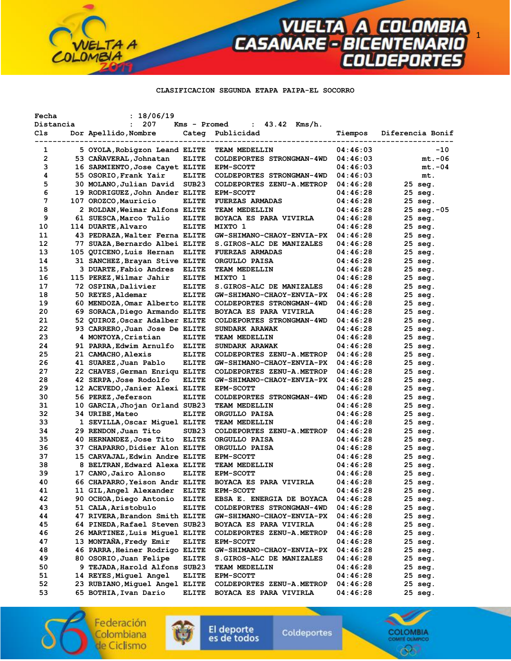#### **CLASIFICACION SEGUNDA ETAPA PAIPA-EL SOCORRO**

**VUELTA A COLOMBIA**<br>CASANARE - BICENTENARIO<br>COLDEPORTES

| Fecha<br>Distancia | : 18/06/19<br>207<br>$\mathbf{L}$                       | Kms - Promed      | $43.42$ Kms/h.<br>$\mathbf{L}$                |                      |                       |
|--------------------|---------------------------------------------------------|-------------------|-----------------------------------------------|----------------------|-----------------------|
| Cls                | Dor Apellido, Nombre                                    |                   | Categ Publicidad                              | Tiempos              | Diferencia Bonif      |
|                    |                                                         |                   | ------------                                  |                      |                       |
| 1                  | 5 OYOLA, Robigzon Leand ELITE                           |                   | TEAM MEDELLIN                                 | 04:46:03             | $-10$                 |
| $\mathbf{2}$       | 53 CANAVERAL, Johnatan                                  | <b>ELITE</b>      | COLDEPORTES STRONGMAN-4WD                     | 04:46:03             | $mt.-06$              |
| з                  | 16 SARMIENTO, Jose Cayet ELITE                          |                   | <b>EPM-SCOTT</b>                              | 04:46:03             | $mt.-04$              |
| 4                  | 55 OSORIO, Frank Yair                                   | ELITE             | COLDEPORTES STRONGMAN-4WD                     | 04:46:03             | mt.                   |
| 5                  | 30 MOLANO,Julian David                                  | SUB23             | COLDEPORTES ZENU-A.METROP                     | 04:46:28             | 25 seg.               |
| 6<br>7             | 19 RODRIGUEZ,John Ander ELITE                           |                   | <b>EPM-SCOTT</b>                              | 04:46:28             | 25 seg.               |
| 8                  | 107 OROZCO, Mauricio                                    | <b>ELITE</b>      | <b>FUERZAS ARMADAS</b>                        | 04:46:28<br>04:46:28 | 25 seg.               |
| 9                  | 2 ROLDAN, Weimar Alfons ELITE<br>61 SUESCA, Marco Tulio | ELITE             | TEAM MEDELLIN<br>BOYACA ES PARA VIVIRLA       | 04:46:28             | 25 seg.-05<br>25 seg. |
| 10                 | 114 DUARTE, Alvaro                                      | <b>ELITE</b>      | MIXTO 1                                       | 04:46:28             | $25$ seq.             |
| 11                 | 43 PEDRAZA, Walter Ferna ELITE                          |                   | <b>GW-SHIMANO-CHAOY-ENVIA-PX</b>              | 04:46:28             | 25 seg.               |
| 12                 | 77 SUAZA,Bernardo Albei ELITE                           |                   | S.GIROS-ALC DE MANIZALES                      | 04:46:28             | 25 seg.               |
| 13                 | 105 QUICENO, Luis Hernan ELITE                          |                   | <b>FUERZAS ARMADAS</b>                        | 04:46:28             | 25 seg.               |
| 14                 | 31 SANCHEZ, Brayan Stive ELITE                          |                   | ORGULLO PAISA                                 | 04:46:28             | 25 seg.               |
| 15                 | 3 DUARTE, Fabio Andres ELITE                            |                   | TEAM MEDELLIN                                 | 04:46:28             | 25 seg.               |
| 16                 | 115 PEREZ, Wilmar Jahir                                 | <b>ELITE</b>      | MIXTO 1                                       | 04:46:28             | 25 seg.               |
| 17                 | 72 OSPINA, Dalivier                                     | <b>ELITE</b>      | S.GIROS-ALC DE MANIZALES                      | 04:46:28             | 25 seg.               |
| 18                 | 50 REYES, Aldemar                                       | <b>ELITE</b>      | GW-SHIMANO-CHAOY-ENVIA-PX                     | 04:46:28             | 25 seg.               |
| 19                 | 60 MENDOZA, Omar Alberto ELITE                          |                   | COLDEPORTES STRONGMAN-4WD                     | 04:46:28             | 25 seg.               |
| 20                 | 69 SORACA, Diego Armando ELITE                          |                   | BOYACA ES PARA VIVIRLA                        | 04:46:28             | 25 seg.               |
| 21                 | 52 QUIROZ, Oscar Adalber ELITE                          |                   | COLDEPORTES STRONGMAN-4WD                     | 04:46:28             | 25 seg.               |
| 22                 | 93 CARRERO, Juan Jose De ELITE                          |                   | SUNDARK ARAWAK                                | 04:46:28             | 25 seg.               |
| 23                 | 4 MONTOYA, Cristian                                     | <b>ELITE</b>      | <b>TEAM MEDELLIN</b>                          | 04:46:28             | 25 seg.               |
| 24                 | 91 PARRA, Edwim Arnulfo ELITE                           |                   | SUNDARK ARAWAK                                | 04:46:28             | 25 seg.               |
| 25                 | 21 CAMACHO, Alexis                                      | ELITE             | COLDEPORTES ZENU-A.METROP                     | 04:46:28             | 25 seg.               |
| 26                 | 41 SUAREZ, Juan Pablo                                   | <b>ELITE</b>      | <b>GW-SHIMANO-CHAOY-ENVIA-PX</b>              | 04:46:28             | 25 seg.               |
| 27                 | 22 CHAVES, German Enriqu ELITE                          |                   | COLDEPORTES ZENU-A.METROP                     | 04:46:28             | 25 seg.               |
| 28                 | 42 SERPA,Jose Rodolfo                                   | <b>ELITE</b>      | GW-SHIMANO-CHAOY-ENVIA-PX                     | 04:46:28             | 25 seg.               |
| 29                 | 12 ACEVEDO, Janier Alexi ELITE                          |                   | <b>EPM-SCOTT</b>                              | 04:46:28             | 25 seg.               |
| 30                 | 56 PEREZ, Jeferson                                      | ELITE             | COLDEPORTES STRONGMAN-4WD                     | 04:46:28             | 25 seg.               |
| 31                 | 10 GARCIA, Jhojan Orland SUB23                          |                   | TEAM MEDELLIN                                 | 04:46:28             | 25 seg.               |
| 32                 | 34 URIBE, Mateo                                         | <b>ELITE</b>      | ORGULLO PAISA                                 | 04:46:28             | 25 seg.               |
| 33                 | 1 SEVILLA, Oscar Miguel ELITE                           |                   | TEAM MEDELLIN                                 | 04:46:28             | 25 seg.               |
| 34                 | 29 RENDON, Juan Tito                                    | SUB <sub>23</sub> | COLDEPORTES ZENU-A.METROP                     | 04:46:28             | 25 seg.               |
| 35                 | 40 HERNANDEZ, Jose Tito ELITE                           |                   | ORGULLO PAISA                                 | 04:46:28             | 25 seg.               |
| 36                 | 37 CHAPARRO, Didier Alon ELITE                          |                   | ORGULLO PAISA                                 | 04:46:28             | 25 seg.               |
| 37                 | 15 CARVAJAL, Edwin Andre ELITE                          |                   | <b>EPM-SCOTT</b>                              | 04:46:28             | 25 seg.               |
| 38                 | 8 BELTRAN, Edward Alexa ELITE                           |                   | <b>TEAM MEDELLIN</b>                          | 04:46:28             | 25 seg.               |
| 39                 | 17 CANO, Jairo Alonso                                   | <b>ELITE</b>      | <b>EPM-SCOTT</b>                              | 04:46:28             | 25 seg.               |
| 40                 | 66 CHAPARRO, Yeison Andr ELITE                          |                   | BOYACA ES PARA VIVIRLA                        | 04:46:28             | $25$ seq.             |
| 41                 | 11 GIL, Angel Alexander                                 | <b>ELITE</b>      | <b>EPM-SCOTT</b>                              | 04:46:28             | $25$ seq.             |
| 42                 | 90 OCHOA, Diego Antonio                                 | <b>ELITE</b>      | EBSA E. ENERGIA DE BOYACA                     | 04:46:28             | 25 seg.               |
| 43                 | 51 CALA, Aristobulo                                     | <b>ELITE</b>      | COLDEPORTES STRONGMAN-4WD                     | 04:46:28             | $25$ seq.             |
| 44                 | 47 RIVERA, Brandon Smith ELITE                          |                   | GW-SHIMANO-CHAOY-ENVIA-PX                     | 04:46:28             | 25 seg.               |
| 45                 | 64 PINEDA, Rafael Steven SUB23                          |                   | BOYACA ES PARA VIVIRLA                        | 04:46:28             | 25 seg.               |
| 46                 | 26 MARTINEZ, Luis Miquel ELITE                          |                   | COLDEPORTES ZENU-A.METROP                     | 04:46:28             | 25 seg.               |
| 47                 | 13 MONTAÑA, Fredy Emir                                  | <b>ELITE</b>      | <b>EPM-SCOTT</b>                              | 04:46:28             | 25 seg.               |
| 48<br>49           | 46 PARRA, Heiner Rodrigo ELITE                          |                   | GW-SHIMANO-CHAOY-ENVIA-PX                     | 04:46:28             | 25 seg.               |
| 50                 | 80 OSORIO, Juan Felipe                                  | <b>ELITE</b>      | <b>S.GIROS-ALC DE MANIZALES</b>               | 04:46:28             | 25 seg.               |
| 51                 | 9 TEJADA,Harold Alfons SUB23<br>14 REYES, Miquel Angel  | <b>ELITE</b>      | <b>TEAM MEDELLIN</b>                          | 04:46:28<br>04:46:28 | 25 seg.<br>25 seg.    |
| 52                 | 23 RUBIANO, Miguel Angel ELITE                          |                   | <b>EPM-SCOTT</b><br>COLDEPORTES ZENU-A.METROP | 04:46:28             | 25 seg.               |
| 53                 | 65 BOTHIA, Ivan Dario                                   | <b>ELITE</b>      | BOYACA ES PARA VIVIRLA                        | 04:46:28             | 25 seg.               |
|                    |                                                         |                   |                                               |                      |                       |

Federación Colombiana de Ciclismo

 $\bullet$ 

LOMBIA

TA A



Coldeportes



1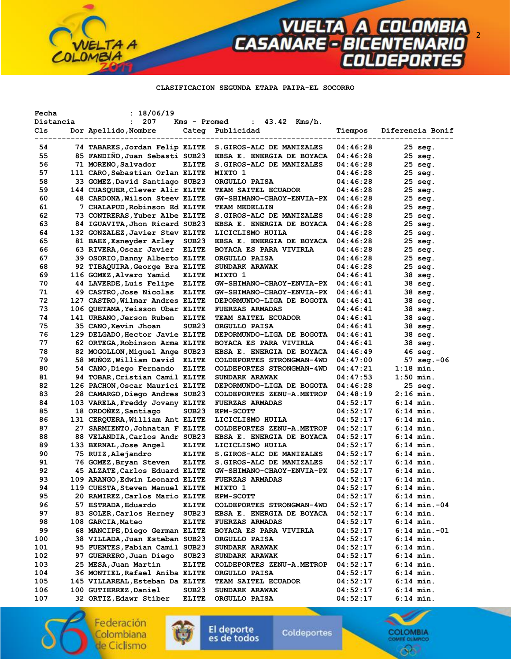**CLASIFICACION SEGUNDA ETAPA PAIPA-EL SOCORRO** 

**VUELTA A COLOMBIA**<br>CASANARE - BICENTENARIO<br>COLDEPORTES

| Fecha     | : 18/06/19                      |                   |                                        |          |                        |
|-----------|---------------------------------|-------------------|----------------------------------------|----------|------------------------|
| Distancia | 207<br>$\mathbf{r}$             | Kms - Promed      | $43.42$ Kms/h.<br>$\ddot{\phantom{a}}$ |          |                        |
| Cls       | Dor Apellido, Nombre            | Categ             | Publicidad                             | Tiempos  | Diferencia Bonif       |
|           |                                 |                   |                                        |          |                        |
| 54        | 74 TABARES, Jordan Felip ELITE  |                   | S.GIROS-ALC DE MANIZALES               | 04:46:28 | 25 seg.                |
| 55        | 85 FANDINO, Juan Sebasti SUB23  |                   | EBSA E. ENERGIA DE BOYACA              | 04:46:28 | 25 seg.                |
| 56        | 71 MORENO, Salvador             | <b>ELITE</b>      | S.GIROS-ALC DE MANIZALES               | 04:46:28 | 25 seg.                |
| 57        | 111 CARO, Sebastian Orlan ELITE |                   | MIXTO 1                                | 04:46:28 | 25 seg.                |
| 58        | 33 GOMEZ,David Santiago SUB23   |                   | ORGULLO PAISA                          | 04:46:28 | 25 seg.                |
| 59        | 144 CUASQUER, Clever Alir ELITE |                   | TEAM SAITEL ECUADOR                    | 04:46:28 | 25 seg.                |
| 60        | 48 CARDONA, Wilson Steev ELITE  |                   | GW-SHIMANO-CHAOY-ENVIA-PX              | 04:46:28 | 25 seg.                |
| 61        | 7 CHALAPUD, Robinson Ed ELITE   |                   | <b>TEAM MEDELLIN</b>                   | 04:46:28 | 25 seg.                |
| 62        | 73 CONTRERAS, Yuber Albe ELITE  |                   | S.GIROS-ALC DE MANIZALES               | 04:46:28 | 25 seg.                |
| 63        | 84 IGUAVITA, Jhon Ricard SUB23  |                   | EBSA E. ENERGIA DE BOYACA              | 04:46:28 | 25 seg.                |
| 64        | 132 GONZALEZ, Javier Stev ELITE |                   | LICICLISMO HUILA                       | 04:46:28 | 25 seg.                |
| 65        | 81 BAEZ, Esneyder Arley         | SUB23             | <b>EBSA E. ENERGIA DE BOYACA</b>       | 04:46:28 | 25 seg.                |
| 66        | 63 RIVERA, Oscar Javier ELITE   |                   | BOYACA ES PARA VIVIRLA                 | 04:46:28 | 25 seg.                |
| 67        | 39 OSORIO, Danny Alberto ELITE  |                   | ORGULLO PAISA                          | 04:46:28 | 25 seg.                |
| 68        | 92 TIBAQUIRA, George Bra ELITE  |                   | SUNDARK ARAWAK                         | 04:46:28 | 25 seg.                |
| 69        | 116 GOMEZ, Alvaro Yamid         | <b>ELITE</b>      | MIXTO 1                                | 04:46:41 | 38 seg.                |
| 70        | 44 LAVERDE, Luis Felipe ELITE   |                   | <b>GW-SHIMANO-CHAOY-ENVIA-PX</b>       | 04:46:41 | 38 seg.                |
| 71        | 49 CASTRO, Jose Nicolas ELITE   |                   | <b>GW-SHIMANO-CHAOY-ENVIA-PX</b>       | 04:46:41 | 38 seg.                |
| 72        | 127 CASTRO, Wilmar Andres ELITE |                   | DEPORMUNDO-LIGA DE BOGOTA              | 04:46:41 | 38 seg.                |
| 73        | 106 QUETAMA, Yeisson Ubar ELITE |                   | <b>FUERZAS ARMADAS</b>                 | 04:46:41 | 38 seg.                |
| 74        | 141 URBANO, Jerson Ruben        | ELITE             | <b>TEAM SAITEL ECUADOR</b>             | 04:46:41 | 38 seg.                |
| 75        | 35 CANO, Kevin Jhoan            | SUB <sub>23</sub> | ORGULLO PAISA                          | 04:46:41 | 38 seg.                |
| 76        | 129 DELGADO, Hector Javie ELITE |                   | DEPORMUNDO-LIGA DE BOGOTA              | 04:46:41 | 38 seg.                |
| 77        | 62 ORTEGA, Robinson Arma ELITE  |                   | BOYACA ES PARA VIVIRLA                 | 04:46:41 | 38 seg.                |
| 78        | 82 MOGOLLON, Miguel Ange SUB23  |                   | EBSA E. ENERGIA DE BOYACA              | 04:46:49 | 46 seg.                |
| 79        | 58 MUNOZ, William David ELITE   |                   | COLDEPORTES STRONGMAN-4WD              | 04:47:00 | $57 \text{ seq. } -06$ |
| 80        | 54 CANO, Diego Fernando ELITE   |                   | COLDEPORTES STRONGMAN-4WD              | 04:47:21 | $1:18$ min.            |
| 81        | 94 TOBAR, Cristian Camil ELITE  |                   | <b>SUNDARK ARAWAK</b>                  | 04:47:53 | $1:50$ min.            |
| 82        | 126 PACHON, Oscar Maurici ELITE |                   | DEPORMUNDO-LIGA DE BOGOTA              | 04:46:28 | $25$ seq.              |
| 83        | 28 CAMARGO, Diego Andres SUB23  |                   | COLDEPORTES ZENU-A.METROP              | 04:48:19 | 2:16 min.              |
| 84        | 103 VARELA, Freddy Jovany ELITE |                   | <b>FUERZAS ARMADAS</b>                 | 04:52:17 | $6:14$ min.            |
| 85        | 18 ORDOÑEZ, Santiago            | SUB <sub>23</sub> | <b>EPM-SCOTT</b>                       | 04:52:17 | $6:14$ min.            |
| 86        | 131 CERQUERA, William Ant ELITE |                   | LICICLISMO HUILA                       | 04:52:17 | $6:14$ min.            |
| 87        | 27 SARMIENTO, Johnatan F ELITE  |                   | COLDEPORTES ZENU-A.METROP              | 04:52:17 | $6:14$ min.            |
| 88        | 88 VELANDIA, Carlos Andr SUB23  |                   | EBSA E. ENERGIA DE BOYACA              | 04:52:17 | $6:14$ min.            |
| 89        | 133 BERNAL, Jose Angel          | <b>ELITE</b>      | LICICLISMO HUILA                       | 04:52:17 | $6:14$ min.            |
| 90        | 75 RUIZ, Alejandro              | <b>ELITE</b>      | S.GIROS-ALC DE MANIZALES               | 04:52:17 | 6:14 min.              |
| 91        | 76 GOMEZ, Bryan Steven          | <b>ELITE</b>      | S. GIROS-ALC DE MANIZALES              | 04:52:17 | 6:14 min.              |
| 92        | 45 ALZATE, Carlos Eduard ELITE  |                   | GW-SHIMANO-CHAOY-ENVIA-PX              | 04:52:17 | $6:14$ min.            |
| 93        | 109 ARANGO, Edwin Leonard ELITE |                   | <b>FUERZAS ARMADAS</b>                 | 04:52:17 | $6:14$ min.            |
| 94        | 119 CUESTA, Steven Manuel ELITE |                   | MIXTO 1                                | 04:52:17 | $6:14$ min.            |
| 95        | 20 RAMIREZ, Carlos Mario ELITE  |                   | <b>EPM-SCOTT</b>                       | 04:52:17 | $6:14$ min.            |
| 96        | 57 ESTRADA, Eduardo             | <b>ELITE</b>      | COLDEPORTES STRONGMAN-4WD              | 04:52:17 | $6:14$ min.-04         |
| 97        | 83 SOLER, Carlos Herney         | SUB23             | EBSA E. ENERGIA DE BOYACA              | 04:52:17 | $6:14$ min.            |
| 98        | 108 GARCIA, Mateo               | <b>ELITE</b>      | <b>FUERZAS ARMADAS</b>                 | 04:52:17 | $6:14$ min.            |
| 99        | 68 MANCIPE, Diego German ELITE  |                   | BOYACA ES PARA VIVIRLA                 | 04:52:17 | $6:14$ min.-01         |
| 100       | 38 VILLADA, Juan Esteban SUB23  |                   | ORGULLO PAISA                          | 04:52:17 | $6:14$ min.            |
| 101       | 95 FUENTES, Fabian Camil SUB23  |                   | <b>SUNDARK ARAWAK</b>                  | 04:52:17 | $6:14$ min.            |
| 102       | 97 GUERRERO, Juan Diego         | SUB <sub>23</sub> | <b>SUNDARK ARAWAK</b>                  | 04:52:17 | $6:14$ min.            |
| 103       | 25 MESA, Juan Martin            | <b>ELITE</b>      | COLDEPORTES ZENU-A.METROP              | 04:52:17 | $6:14$ min.            |
| 104       | 36 MONTIEL, Rafael Aniba ELITE  |                   | ORGULLO PAISA                          | 04:52:17 | $6:14$ min.            |
| 105       | 145 VILLAREAL, Esteban Da ELITE |                   | <b>TEAM SAITEL ECUADOR</b>             | 04:52:17 | 6:14 min.              |
| 106       | 100 GUTIERREZ, Daniel           | SUB <sub>23</sub> | <b>SUNDARK ARAWAK</b>                  | 04:52:17 | $6:14$ min.            |
| 107       | 32 ORTIZ, Edawr Stiber          | <b>ELITE</b>      | ORGULLO PAISA                          | 04:52:17 | $6:14$ min.            |
|           |                                 |                   |                                        |          |                        |

Federación Colombiana de Ciclismo

۰

LOMBIA

TA A



Coldeportes



2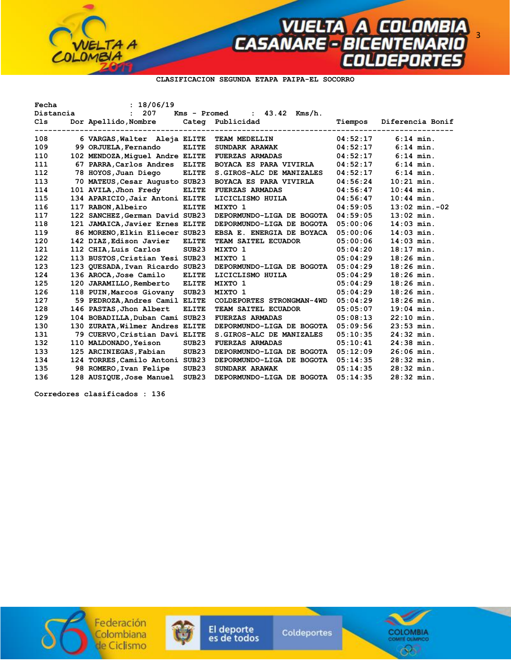

**CLASIFICACION SEGUNDA ETAPA PAIPA-EL SOCORRO** 

| Fecha     | : 18/06/19                                 |                   |                                                           |          |                  |
|-----------|--------------------------------------------|-------------------|-----------------------------------------------------------|----------|------------------|
| Distancia | : 207                                      |                   | Kms - Promed<br>: $43.42$ Kms/h.                          |          |                  |
| C1s       | Dor Apellido, Nombre Categ Publicidad      |                   |                                                           | Tiempos  | Diferencia Bonif |
| 108       | 6 VARGAS, Walter Aleja ELITE TEAM MEDELLIN |                   | ---------------------------------<br>-------------------- | 04:52:17 | $6:14$ min.      |
| 109       | 99 ORJUELA, Fernando                       | <b>ELITE</b>      | <b>SUNDARK ARAWAK</b>                                     | 04:52:17 | $6:14$ min.      |
| 110       | 102 MENDOZA, Miquel Andre ELITE            |                   | <b>FUERZAS ARMADAS</b>                                    | 04:52:17 | $6:14$ min.      |
| 111       | 67 PARRA, Carlos Andres                    | <b>ELITE</b>      | BOYACA ES PARA VIVIRLA                                    | 04:52:17 | $6:14$ min.      |
| 112       | 78 HOYOS, Juan Diego                       | <b>ELITE</b>      | S. GIROS-ALC DE MANIZALES                                 | 04:52:17 | $6:14$ min.      |
| 113       | 70 MATEUS, Cesar Augusto SUB23             |                   | <b>BOYACA ES PARA VIVIRLA</b>                             | 04:56:24 | $10:21$ min.     |
| 114       | 101 AVILA, Jhon Fredy                      | <b>ELITE</b>      | <b>FUERZAS ARMADAS</b>                                    | 04:56:47 | $10:44$ min.     |
| 115       | 134 APARICIO, Jair Antoni ELITE            |                   | LICICLISMO HUILA                                          | 04:56:47 | $10:44$ min.     |
| 116       | 117 RABON, Albeiro                         | <b>ELITE</b>      | MIXTO 1                                                   | 04:59:05 | $13:02$ min.-02  |
| 117       | 122 SANCHEZ, German David SUB23            |                   | DEPORMUNDO-LIGA DE BOGOTA                                 | 04:59:05 | $13:02$ min.     |
| 118       | 121 JAMAICA, Javier Ernes ELITE            |                   | DEPORMUNDO-LIGA DE BOGOTA                                 | 05:00:06 | $14:03$ min.     |
| 119       | 86 MORENO, Elkin Eliecer SUB23             |                   | EBSA E. ENERGIA DE BOYACA                                 | 05:00:06 | $14:03$ min.     |
| 120       | 142 DIAZ, Edison Javier                    | <b>ELITE</b>      | TEAM SAITEL ECUADOR                                       | 05:00:06 | $14:03$ min.     |
| 121       | 112 CHIA, Luis Carlos                      | SUB <sub>23</sub> | MIXTO 1                                                   | 05:04:20 | $18:17$ min.     |
| 122       | 113 BUSTOS, Cristian Yesi SUB23            |                   | MIXTO 1                                                   | 05:04:29 | $18:26$ min.     |
| 123       | 123 QUESADA, Ivan Ricardo SUB23            |                   | DEPORMUNDO-LIGA DE BOGOTA                                 | 05:04:29 | $18:26$ min.     |
| 124       | 136 AROCA, Jose Camilo                     | <b>ELITE</b>      | LICICLISMO HUILA                                          | 05:04:29 | $18:26$ min.     |
| 125       | 120 JARAMILLO, Remberto                    | <b>ELITE</b>      | MIXTO 1                                                   | 05:04:29 | $18:26$ min.     |
| 126       | 118 PUIN, Marcos Giovany                   | SUB23             | MIXTO 1                                                   | 05:04:29 | $18:26$ min.     |
| 127       | 59 PEDROZA, Andres Camil ELITE             |                   | COLDEPORTES STRONGMAN-4WD                                 | 05:04:29 | $18:26$ min.     |
| 128       | 146 PASTAS, Jhon Albert                    | <b>ELITE</b>      | TEAM SAITEL ECUADOR                                       | 05:05:07 | $19:04$ min.     |
| 129       | 104 BOBADILLA, Duban Cami SUB23            |                   | <b>FUERZAS ARMADAS</b>                                    | 05:08:13 | $22:10$ min.     |
| 130       | 130 ZURATA, Wilmer Andres ELITE            |                   | DEPORMUNDO-LIGA DE BOGOTA                                 | 05:09:56 | $23:53$ min.     |
| 131       | 79 CUERVO, Cristian Davi ELITE             |                   | S. GIROS-ALC DE MANIZALES                                 | 05:10:35 | $24:32$ min.     |
| 132       | 110 MALDONADO, Yeison                      | SUB23             | <b>FUERZAS ARMADAS</b>                                    | 05:10:41 | $24:38$ min.     |
| 133       | 125 ARCINIEGAS, Fabian                     | SUB <sub>23</sub> | DEPORMUNDO-LIGA DE BOGOTA                                 | 05:12:09 | $26:06$ min.     |
| 134       | 124 TORRES, Camilo Antoni SUB23            |                   | DEPORMUNDO-LIGA DE BOGOTA                                 | 05:14:35 | $28:32$ min.     |
| 135       | 98 ROMERO, Ivan Felipe                     | SUB <sub>23</sub> | SUNDARK ARAWAK                                            | 05:14:35 | $28:32$ min.     |
| 136       | 128 AUSIOUE, Jose Manuel                   | SUB23             | DEPORMUNDO-LIGA DE BOGOTA                                 | 05:14:35 | $28:32$ min.     |

 **Corredores clasificados : 136** 





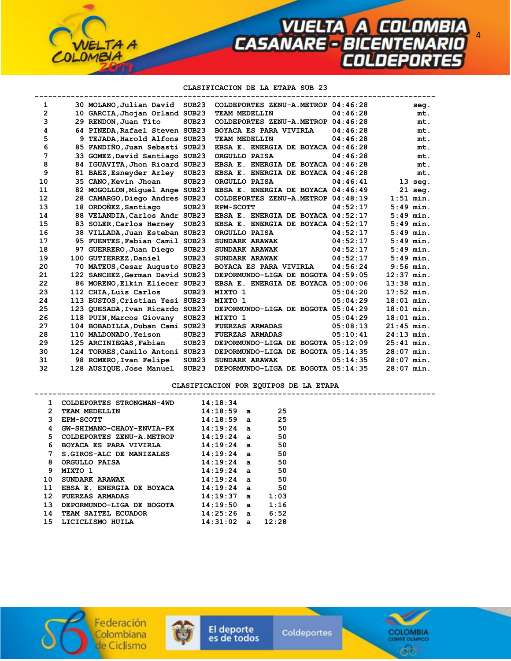4

### **CLASIFICACION DE LA ETAPA SUB 23**

| $\mathbf{1}$   | 30 MOLANO, Julian David SUB23   |                   | COLDEPORTES ZENU-A.METROP 04:46:28 |          | seg.         |
|----------------|---------------------------------|-------------------|------------------------------------|----------|--------------|
| $\overline{2}$ | 10 GARCIA, Jhojan Orland SUB23  |                   | TEAM MEDELLIN                      | 04:46:28 | mt.          |
| 3              | 29 RENDON, Juan Tito            | SUB23             | COLDEPORTES ZENU-A.METROP 04:46:28 |          | mt.          |
| 4              | 64 PINEDA, Rafael Steven SUB23  |                   | <b>BOYACA ES PARA VIVIRLA</b>      | 04:46:28 | mt.          |
| 5              | 9 TEJADA, Harold Alfons SUB23   |                   | TEAM MEDELLIN                      | 04:46:28 | mt.          |
| 6              | 85 FANDINO, Juan Sebasti SUB23  |                   | EBSA E. ENERGIA DE BOYACA 04:46:28 |          | mt.          |
| 7              | 33 GOMEZ, David Santiago SUB23  |                   | ORGULLO PAISA                      | 04:46:28 | mt.          |
| 8              | 84 IGUAVITA, Jhon Ricard SUB23  |                   | EBSA E. ENERGIA DE BOYACA 04:46:28 |          | mt.          |
| 9              | 81 BAEZ, Esneyder Arley         | SUB <sub>23</sub> | EBSA E. ENERGIA DE BOYACA 04:46:28 |          | mt.          |
| 10             | 35 CANO, Kevin Jhoan            | SUB <sub>23</sub> | ORGULLO PAISA                      | 04:46:41 | $13$ seg.    |
| 11             | 82 MOGOLLON, Miquel Ange SUB23  |                   | EBSA E. ENERGIA DE BOYACA 04:46:49 |          | $21$ seg.    |
| 12             | 28 CAMARGO, Diego Andres SUB23  |                   | COLDEPORTES ZENU-A.METROP 04:48:19 |          | $1:51$ min.  |
| 13             | 18 ORDOÑEZ, Santiago            | SUB <sub>23</sub> | EPM-SCOTT                          | 04:52:17 | $5:49$ min.  |
| 14             | 88 VELANDIA, Carlos Andr SUB23  |                   | EBSA E. ENERGIA DE BOYACA 04:52:17 |          | $5:49$ min.  |
| 15             | 83 SOLER, Carlos Herney         | SUB <sub>23</sub> | EBSA E. ENERGIA DE BOYACA 04:52:17 |          | $5:49$ min.  |
| 16             | 38 VILLADA, Juan Esteban SUB23  |                   | ORGULLO PAISA                      | 04:52:17 | $5:49$ min.  |
| 17             | 95 FUENTES, Fabian Camil SUB23  |                   | SUNDARK ARAWAK                     | 04:52:17 | $5:49$ min.  |
| 18             | 97 GUERRERO, Juan Diego SUB23   |                   | <b>SUNDARK ARAWAK</b>              | 04:52:17 | $5:49$ min.  |
| 19             | 100 GUTIERREZ, Daniel           | SUB <sub>23</sub> | SUNDARK ARAWAK                     | 04:52:17 | $5:49$ min.  |
| 20             | 70 MATEUS, Cesar Augusto SUB23  |                   | <b>BOYACA ES PARA VIVIRLA</b>      | 04:56:24 | $9:56$ min.  |
| 21             | 122 SANCHEZ, German David SUB23 |                   | DEPORMUNDO-LIGA DE BOGOTA 04:59:05 |          | $12:37$ min. |
| 22             | 86 MORENO, Elkin Eliecer SUB23  |                   | EBSA E. ENERGIA DE BOYACA 05:00:06 |          | $13:38$ min. |
| 23             | 112 CHIA, Luis Carlos           | SUB <sub>23</sub> | MIXTO 1                            | 05:04:20 | $17:52$ min. |
| 24             | 113 BUSTOS, Cristian Yesi SUB23 |                   | MIXTO 1                            | 05:04:29 | $18:01$ min. |
| 25             | 123 QUESADA, Ivan Ricardo SUB23 |                   | DEPORMUNDO-LIGA DE BOGOTA 05:04:29 |          | $18:01$ min. |
| 26             | 118 PUIN, Marcos Giovany        | SUB <sub>23</sub> | MIXTO 1                            | 05:04:29 | $18:01$ min. |
| 27             | 104 BOBADILLA, Duban Cami SUB23 |                   | <b>FUERZAS ARMADAS</b>             | 05:08:13 | $21:45$ min. |
| 28             | 110 MALDONADO, Yeison           | SUB <sub>23</sub> | <b>FUERZAS ARMADAS</b>             | 05:10:41 | $24:13$ min. |
| 29             | 125 ARCINIEGAS, Fabian          | SUB <sub>23</sub> | DEPORMUNDO-LIGA DE BOGOTA 05:12:09 |          | $25:41$ min. |
| 30             | 124 TORRES, Camilo Antoni SUB23 |                   | DEPORMUNDO-LIGA DE BOGOTA 05:14:35 |          | $28:07$ min. |
| 31             | 98 ROMERO, Ivan Felipe          | SUB <sub>23</sub> | SUNDARK ARAWAK                     | 05:14:35 | $28:07$ min. |
| 32             | 128 AUSIQUE, Jose Manuel        | SUB <sub>23</sub> | DEPORMUNDO-LIGA DE BOGOTA 05:14:35 |          | $28:07$ min. |

## **CLASIFICACION POR EQUIPOS DE LA ETAPA**

| $\mathbf{1}$    | COLDEPORTES STRONGMAN-4WD        | 14:18:34          |       |  |
|-----------------|----------------------------------|-------------------|-------|--|
| $\overline{2}$  | TEAM MEDELLIN                    | $14:18:59$ a      | -25   |  |
| 3               | <b>EPM-SCOTT</b>                 | $14:18:59$ a      | 25    |  |
| 4               | <b>GW-SHIMANO-CHAOY-ENVIA-PX</b> | $14:19:24$ a      | 50    |  |
| 5.              | COLDEPORTES ZENU-A.METROP        | $14:19:24$ a      | 50    |  |
| 6               | BOYACA ES PARA VIVIRLA           | $14:19:24$ a      | 50    |  |
| 7               | S.GIROS-ALC DE MANIZALES         | $14:19:24$ a      | 50    |  |
| 8               | ORGULLO PAISA                    | $14:19:24$ a      | 50    |  |
| 9               | MIXTO 1                          | $14:19:24$ a      | 50    |  |
| 10              | SUNDARK ARAWAK                   | $14:19:24$ a      | 50    |  |
| 11              | EBSA E. ENERGIA DE BOYACA        | $14:19:24$ a      | - 50  |  |
| 12 <sup>2</sup> | <b>FUERZAS ARMADAS</b>           | $14:19:37$ a      | 1:03  |  |
| 13              | DEPORMUNDO-LIGA DE BOGOTA        | 14:19:50a         | 1:16  |  |
| 14              | TEAM SAITEL ECUADOR              | $14:25:26$ a 6:52 |       |  |
| 15              | LICICLISMO HUILA                 | $14:31:02$ a      | 12:28 |  |
|                 |                                  |                   |       |  |



۰

TA A



El deporte<br>es de todos

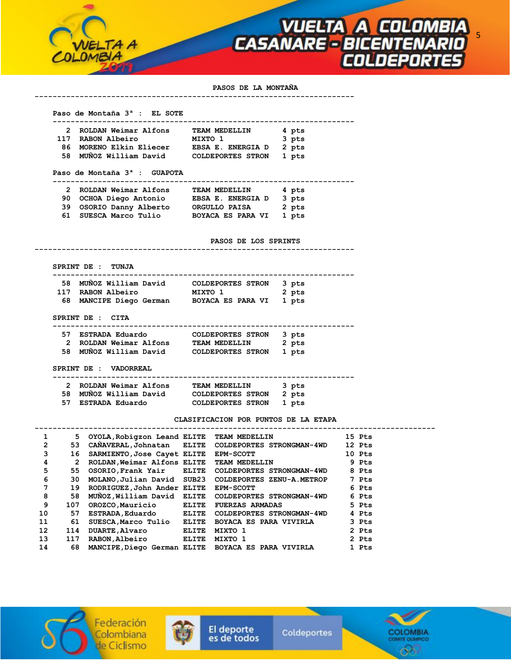

### **PASOS DE LA MONTAÑA**

### **Paso de Montaña 3ª : EL SOTE**

| 2 ROLDAN Weimar Alfons  | TEAM MEDELLIN     | 4 pts |
|-------------------------|-------------------|-------|
| 117 RABON Albeiro       | MIXTO 1           | 3 pts |
| 86 MORENO Elkin Eliecer | EBSA E. ENERGIA D | 2 pts |
| 58 MUÑOZ William David  | COLDEPORTES STRON | 1 pts |

 **-----------------------------------------------------------------------** 

## **Paso de Montaña 3ª : GUAPOTA**

# **------------------------------------------------------------------- 2 ROLDAN Weimar Alfons TEAM MEDELLIN 4 pts 90 OCHOA Diego Antonio EBSA E. ENERGIA D 3 pts 39 OSORIO Danny Alberto ORGULLO PAISA 2 pts 61 SUESCA Marco Tulio BOYACA ES PARA VI 1 pts**

#### **PASOS DE LOS SPRINTS**

 **-----------------------------------------------------------------------** 

### **SPRINT DE : TUNJA**

| 58 MUÑOZ William David<br>COLDEPORTES STRON 3 pts  |  |
|----------------------------------------------------|--|
| 117 RABON Albeiro<br>2 pts<br>MIXTO 1              |  |
| 68 MANCIPE Diego German<br>BOYACA ES PARA VI 1 pts |  |

# **SPRINT DE : CITA**

| 57 ESTRADA Eduardo     | COLDEPORTES STRON 3 pts |       |
|------------------------|-------------------------|-------|
| 2 ROLDAN Weimar Alfons | <b>TEAM MEDELLIN</b>    | 2 pts |
| 58 MUÑOZ William David | COLDEPORTES STRON       | 1 pts |

 **SPRINT DE : VADORREAL** 

#### **-------------------------------------------------------------------**

| 2 ROLDAN Weimar Alfons | TEAM MEDELLIN           | 3 pts |
|------------------------|-------------------------|-------|
| 58 MUÑOZ William David | COLDEPORTES STRON 2 pts |       |
| 57 ESTRADA Eduardo     | COLDEPORTES STRON 1 pts |       |

# **CLASIFICACION POR PUNTOS DE LA ETAPA**

| 1              | 5.  |                                           | OYOLA,Robiqzon Leand ELITE TEAM MEDELLIN             | 15 Pts |
|----------------|-----|-------------------------------------------|------------------------------------------------------|--------|
| $\overline{2}$ | 53  |                                           | CANAVERAL, Johnatan ELITE COLDEPORTES STRONGMAN-4WD  | 12 Pts |
| 3              | 16  | SARMIENTO, Jose Cayet ELITE               | <b>EPM-SCOTT</b>                                     | 10 Pts |
| 4              | 2   | ROLDAN, Weimar Alfons ELITE TEAM MEDELLIN |                                                      | 9 Pts  |
| 5              | 55  |                                           | OSORIO, Frank Yair ELITE COLDEPORTES STRONGMAN-4WD   | 8 Pts  |
| 6              | 30. | MOLANO, Julian David SUB23                | COLDEPORTES ZENU-A.METROP                            | 7 Pts  |
| 7              | 19  | RODRIGUEZ, John Ander ELITE               | <b>EPM-SCOTT</b>                                     | 6 Pts  |
| 8              | 58  |                                           | MUNOZ, William David ELITE COLDEPORTES STRONGMAN-4WD | 6 Pts  |
| 9              | 107 | OROZCO, Mauricio ELITE                    | <b>FUERZAS ARMADAS</b>                               | 5 Pts  |
| 10             | 57  | ESTRADA, Eduardo ELITE                    | COLDEPORTES STRONGMAN-4WD                            | 4 Pts  |
| 11             | 61  |                                           | SUESCA, Marco Tulio ELITE BOYACA ES PARA VIVIRLA     | 3 Pts  |
| 12             | 114 | DUARTE, Alvaro ELITE                      | MIXTO 1                                              | 2 Pts  |
| 13             | 117 | RABON, Albeiro ELITE MIXTO 1              |                                                      | 2 Pts  |
| 14             | 68  |                                           | MANCIPE,Diego German ELITE BOYACA ES PARA VIVIRLA    | 1 Pts  |





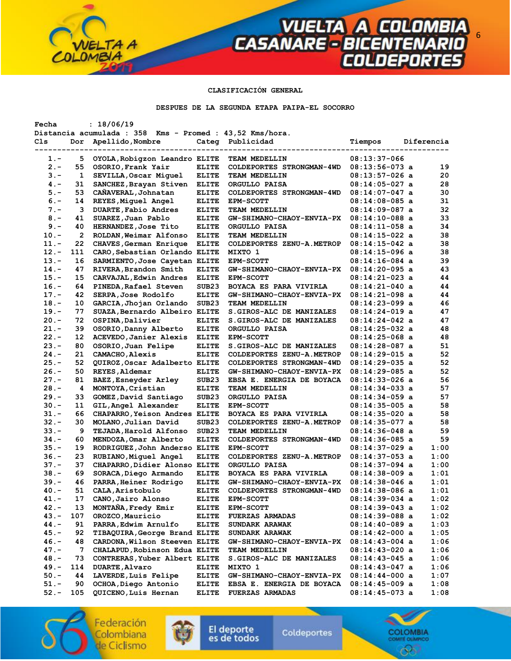# **CLASIFICACIÓN GENERAL**

**VUELTA A COLOMBIA**<br>CASANARE - BICENTENARIO<br>COLDEPORTES

#### **DESPUES DE LA SEGUNDA ETAPA PAIPA-EL SOCORRO**

| Fecha   |                | : 18/06/19                                               |                   |                            |                  |            |
|---------|----------------|----------------------------------------------------------|-------------------|----------------------------|------------------|------------|
|         |                | Distancia acumulada : 358 Kms - Promed : 43,52 Kms/hora. |                   |                            |                  |            |
| Cls     | Dor            | Apellido, Nombre                                         |                   | Categ Publicidad           | Tiempos          | Diferencia |
|         |                |                                                          |                   |                            |                  |            |
| 1.-     | 5              | OYOLA, Robigzon Leandro ELITE                            |                   | TEAM MEDELLIN              | $08:13:37-066$   |            |
| $2 -$   | 55             | OSORIO, Frank Yair                                       | <b>ELITE</b>      | COLDEPORTES STRONGMAN-4WD  | $08:13:56-073$ a | 19         |
| $3 -$   | 1              | SEVILLA, Oscar Miquel                                    | <b>ELITE</b>      | TEAM MEDELLIN              | $08:13:57-026$ a | 20         |
| $4. -$  | 31             | SANCHEZ, Brayan Stiven                                   | <b>ELITE</b>      | ORGULLO PAISA              | $08:14:05-027$ a | 28         |
| 5.-     | 53             | CAÑAVERAL, Johnatan                                      | <b>ELITE</b>      | COLDEPORTES STRONGMAN-4WD  | 08:14:07-047 a   | 30         |
| $6 -$   | 14             | REYES, Miguel Angel                                      | <b>ELITE</b>      | <b>EPM-SCOTT</b>           | 08:14:08-085 a   | 31         |
| $7 -$   | 3              | <b>DUARTE, Fabio Andres</b>                              | <b>ELITE</b>      | TEAM MEDELLIN              | $08:14:09-087$ a | 32         |
| $8 -$   | 41             | SUAREZ, Juan Pablo                                       | <b>ELITE</b>      | GW-SHIMANO-CHAOY-ENVIA-PX  | $08:14:10-088$ a | 33         |
| $9 -$   | 40             | HERNANDEZ, Jose Tito                                     | <b>ELITE</b>      | ORGULLO PAISA              | $08:14:11-058$ a | 34         |
| $10.-$  | $\overline{2}$ | ROLDAN, Weimar Alfonso                                   | <b>ELITE</b>      | TEAM MEDELLIN              | $08:14:15-022$ a | 38         |
| $11. -$ | 22             | CHAVES, German Enrique                                   | <b>ELITE</b>      | COLDEPORTES ZENU-A.METROP  | $08:14:15-042$ a | 38         |
| $12 -$  | 111            | CARO, Sebastian Orlando ELITE                            |                   | MIXTO 1                    | 08:14:15-096 a   | 38         |
| $13 -$  | 16             | SARMIENTO, Jose Cayetan ELITE                            |                   | <b>EPM-SCOTT</b>           | $08:14:16-084$ a | 39         |
| $14. -$ | 47             | RIVERA, Brandon Smith                                    | <b>ELITE</b>      | GW-SHIMANO-CHAOY-ENVIA-PX  | $08:14:20-095$ a | 43         |
| $15. -$ |                |                                                          |                   |                            |                  | 44         |
|         | 15             | CARVAJAL, Edwin Andres                                   | <b>ELITE</b>      | <b>EPM-SCOTT</b>           | 08:14:21-023 a   |            |
| $16. -$ | 64             | PINEDA, Rafael Steven                                    | SUB <sub>23</sub> | BOYACA ES PARA VIVIRLA     | 08:14:21-040 a   | 44         |
| $17. -$ | 42             | SERPA, Jose Rodolfo                                      | <b>ELITE</b>      | GW-SHIMANO-CHAOY-ENVIA-PX  | $08:14:21-098$ a | 44         |
| $18. -$ | 10             | GARCIA, Jhojan Orlando                                   | SUB <sub>23</sub> | TEAM MEDELLIN              | 08:14:23-099 a   | 46         |
| $19. -$ | 77             | SUAZA, Bernardo Albeiro ELITE                            |                   | S. GIROS-ALC DE MANIZALES  | $08:14:24-019$ a | 47         |
| $20 -$  | 72             | OSPINA, Dalivier                                         | <b>ELITE</b>      | S. GIROS-ALC DE MANIZALES  | 08:14:24-042 a   | 47         |
| $21 -$  | 39             | OSORIO, Danny Alberto                                    | <b>ELITE</b>      | ORGULLO PAISA              | 08:14:25-032 a   | 48         |
| $22 -$  | 12             | ACEVEDO, Janier Alexis                                   | <b>ELITE</b>      | <b>EPM-SCOTT</b>           | $08:14:25-068$ a | 48         |
| $23 -$  | 80             | OSORIO, Juan Felipe                                      | <b>ELITE</b>      | S. GIROS-ALC DE MANIZALES  | $08:14:28-087$ a | 51         |
| $24. -$ | 21             | CAMACHO, Alexis                                          | <b>ELITE</b>      | COLDEPORTES ZENU-A.METROP  | $08:14:29-015$ a | 52         |
| $25. -$ | 52             | QUIROZ, Oscar Adalberto ELITE                            |                   | COLDEPORTES STRONGMAN-4WD  | $08:14:29-035$ a | 52         |
| $26. -$ | 50             | REYES, Aldemar                                           | <b>ELITE</b>      | GW-SHIMANO-CHAOY-ENVIA-PX  | $08:14:29-085$ a | 52         |
| $27 -$  | 81             | BAEZ, Esneyder Arley                                     | SUB <sub>23</sub> | EBSA E. ENERGIA DE BOYACA  | $08:14:33-026$ a | 56         |
| $28 -$  | 4              | MONTOYA, Cristian                                        | <b>ELITE</b>      | TEAM MEDELLIN              | 08:14:34-033 a   | 57         |
| $29. -$ | 33             | GOMEZ, David Santiago                                    | SUB <sub>23</sub> | ORGULLO PAISA              | $08:14:34-059$ a | 57         |
| $30 -$  | 11             | GIL, Angel Alexander                                     | <b>ELITE</b>      | <b>EPM-SCOTT</b>           | $08:14:35-005$ a | 58         |
| $31 -$  | 66             | CHAPARRO, Yeison Andres ELITE                            |                   | BOYACA ES PARA VIVIRLA     | 08:14:35-020 a   | 58         |
| $32 -$  | 30             | MOLANO, Julian David                                     | SUB <sub>23</sub> | COLDEPORTES ZENU-A.METROP  | $08:14:35-077$ a | 58         |
| $33 -$  | 9              | TEJADA, Harold Alfonso                                   | SUB <sub>23</sub> | TEAM MEDELLIN              | $08:14:36-048$ a | 59         |
| $34 -$  | 60             | MENDOZA, Omar Alberto                                    | <b>ELITE</b>      | COLDEPORTES STRONGMAN-4WD  | $08:14:36-085$ a | 59         |
| $35. -$ | 19             | RODRIGUEZ, John Anderso ELITE                            |                   | <b>EPM-SCOTT</b>           | $08:14:37-029$ a | 1:00       |
| $36. -$ | 23             | RUBIANO, Miguel Angel                                    | <b>ELITE</b>      | COLDEPORTES ZENU-A. METROP | $08:14:37-053$ a | 1:00       |
| $37 -$  | 37             | CHAPARRO, Didier Alonso ELITE                            |                   | ORGULLO PAISA              | $08:14:37-094$ a | 1:00       |
| $38 -$  | 69             | SORACA, Diego Armando                                    | <b>ELITE</b>      | BOYACA ES PARA VIVIRLA     | $08:14:38-009$ a | 1:01       |
| 39.-    | 46             | PARRA, Heiner Rodrigo                                    | <b>ELITE</b>      | GW-SHIMANO-CHAOY-ENVIA-PX  | $08:14:38-046$ a | 1:01       |
| 40.-    | 51             | CALA, Aristobulo                                         | <b>ELITE</b>      | COLDEPORTES STRONGMAN-4WD  | 08:14:38-086 a   | 1:01       |
| $41. -$ | 17             | CANO, Jairo Alonso                                       |                   |                            | $08:14:39-034$ a | 1:02       |
| $42. -$ |                | MONTAÑA, Fredy Emir                                      | <b>ELITE</b>      | <b>EPM-SCOTT</b>           |                  |            |
|         | 13             |                                                          | <b>ELITE</b>      | <b>EPM-SCOTT</b>           | $08:14:39-043$ a | 1:02       |
| $43 -$  | 107            | OROZCO, Mauricio                                         | <b>ELITE</b>      | <b>FUERZAS ARMADAS</b>     | $08:14:39-088$ a | 1:02       |
| 44.-    | 91             | PARRA, Edwim Arnulfo                                     | <b>ELITE</b>      | <b>SUNDARK ARAWAK</b>      | $08:14:40-089$ a | 1:03       |
| $45. -$ | 92             | TIBAQUIRA, George Brand ELITE                            |                   | SUNDARK ARAWAK             | $08:14:42-000$ a | 1:05       |
| $46. -$ | 48             | CARDONA, Wilson Steeven ELITE                            |                   | GW-SHIMANO-CHAOY-ENVIA-PX  | $08:14:43-004$ a | 1:06       |
| $47. -$ | 7              | CHALAPUD, Robinson Edua ELITE                            |                   | TEAM MEDELLIN              | $08:14:43-020$ a | 1:06       |
| $48. -$ | 73             | CONTRERAS, Yuber Albert ELITE                            |                   | S. GIROS-ALC DE MANIZALES  | $08:14:43-045$ a | 1:06       |
| $49. -$ | 114            | <b>DUARTE, Alvaro</b>                                    | <b>ELITE</b>      | MIXTO 1                    | $08:14:43-047$ a | 1:06       |
| $50. -$ | 44             | LAVERDE, Luis Felipe                                     | <b>ELITE</b>      | GW-SHIMANO-CHAOY-ENVIA-PX  | $08:14:44-000$ a | 1:07       |
| $51. -$ | 90             | OCHOA, Diego Antonio                                     | <b>ELITE</b>      | EBSA E. ENERGIA DE BOYACA  | 08:14:45-009 a   | 1:08       |
| $52 -$  | 105            | QUICENO, Luis Hernan                                     | <b>ELITE</b>      | <b>FUERZAS ARMADAS</b>     | $08:14:45-073$ a | 1:08       |

Federación Colombiana de Ciclismo

۰

LOMBIA

TA A



El deporte<br>es de todos

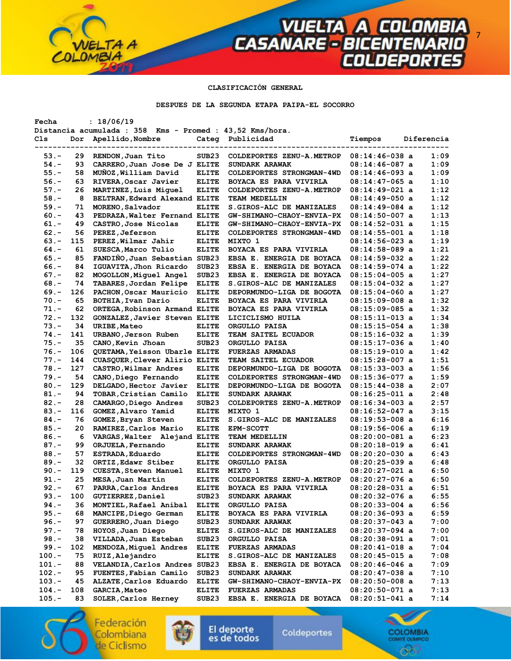# **CLASIFICACIÓN GENERAL**

**VUELTA A COLOMBIA**<br>CASANARE - BICENTENARIO<br>COLDEPORTES

**DESPUES DE LA SEGUNDA ETAPA PAIPA-EL SOCORRO** 

| Fecha    |     | : 18/06/19                                               |                   |                           |                  |            |
|----------|-----|----------------------------------------------------------|-------------------|---------------------------|------------------|------------|
|          |     | Distancia acumulada : 358 Kms - Promed : 43,52 Kms/hora. |                   |                           |                  |            |
| Cls      | Dor | Apellido, Nombre                                         |                   | Categ Publicidad          | Tiempos          | Diferencia |
|          |     |                                                          | ------------      |                           |                  |            |
| $53. -$  | 29  | RENDON, Juan Tito                                        | SUB <sub>23</sub> | COLDEPORTES ZENU-A.METROP | $08:14:46-038$ a | 1:09       |
| $54. -$  | 93  | CARRERO, Juan Jose De J ELITE                            |                   | SUNDARK ARAWAK            | $08:14:46-087$ a | 1:09       |
| $55. -$  | 58  | MUÑOZ, William David                                     | <b>ELITE</b>      | COLDEPORTES STRONGMAN-4WD | $08:14:46-093$ a | 1:09       |
| $56. -$  | 63  | RIVERA, Oscar Javier                                     | <b>ELITE</b>      | BOYACA ES PARA VIVIRLA    | $08:14:47-065$ a | 1:10       |
| $57. -$  | 26  | MARTINEZ, Luis Miguel                                    | <b>ELITE</b>      | COLDEPORTES ZENU-A.METROP | 08:14:49-021 a   | 1:12       |
| $58. -$  | 8   | BELTRAN, Edward Alexand ELITE                            |                   | TEAM MEDELLIN             | $08:14:49-050$ a | 1:12       |
| $59. -$  | 71  | MORENO, Salvador                                         | <b>ELITE</b>      | S. GIROS-ALC DE MANIZALES | $08:14:49-084$ a | 1:12       |
| $60 -$   | 43  | PEDRAZA, Walter Fernand ELITE                            |                   | GW-SHIMANO-CHAOY-ENVIA-PX | $08:14:50-007$ a | 1:13       |
| $61. -$  | 49  | CASTRO, Jose Nicolas                                     | <b>ELITE</b>      | GW-SHIMANO-CHAOY-ENVIA-PX | $08:14:52-031$ a | 1:15       |
| $62 -$   | 56  | PEREZ, Jeferson                                          | <b>ELITE</b>      | COLDEPORTES STRONGMAN-4WD | $08:14:55-001$ a | 1:18       |
| $63 -$   | 115 | PEREZ, Wilmar Jahir                                      | <b>ELITE</b>      | MIXTO 1                   | 08:14:56-023 a   | 1:19       |
| $64. -$  | 61  | SUESCA, Marco Tulio                                      | <b>ELITE</b>      | BOYACA ES PARA VIVIRLA    | 08:14:58-089 a   | 1:21       |
| $65. -$  | 85  | FANDIÑO, Juan Sebastian SUB23                            |                   | EBSA E. ENERGIA DE BOYACA | $08:14:59-032$ a | 1:22       |
| $66. -$  | 84  | IGUAVITA, Jhon Ricardo                                   | SUB <sub>23</sub> | EBSA E. ENERGIA DE BOYACA | $08:14:59-074$ a | 1:22       |
| $67. -$  | 82  | MOGOLLON, Miquel Angel                                   | SUB <sub>23</sub> | EBSA E. ENERGIA DE BOYACA | 08:15:04-005 a   | 1:27       |
| $68 -$   | 74  | TABARES, Jordan Felipe                                   | <b>ELITE</b>      | S. GIROS-ALC DE MANIZALES | $08:15:04-032$ a | 1:27       |
| $69. -$  | 126 | PACHON, Oscar Mauricio                                   | <b>ELITE</b>      | DEPORMUNDO-LIGA DE BOGOTA | $08:15:04-060$ a | 1:27       |
| $70. -$  | 65  | BOTHIA, Ivan Dario                                       | <b>ELITE</b>      | BOYACA ES PARA VIVIRLA    | 08:15:09-008 a   | 1:32       |
| $71. -$  | 62  | ORTEGA, Robinson Armand ELITE                            |                   | BOYACA ES PARA VIVIRLA    | $08:15:09-085$ a | 1:32       |
| $72 -$   | 132 | GONZALEZ, Javier Steven ELITE                            |                   |                           |                  | 1:34       |
| $73. -$  | 34  | <b>URIBE, Mateo</b>                                      | <b>ELITE</b>      | LICICLISMO HUILA          | $08:15:11-013$ a | 1:38       |
| $74. -$  |     |                                                          |                   | ORGULLO PAISA             | $08:15:15-054$ a |            |
|          | 141 | URBANO, Jerson Ruben                                     | <b>ELITE</b>      | TEAM SAITEL ECUADOR       | $08:15:16-032$ a | 1:39       |
| $75. -$  | 35  | CANO, Kevin Jhoan                                        | SUB <sub>23</sub> | ORGULLO PAISA             | $08:15:17-036$ a | 1:40       |
| $76. -$  | 106 | QUETAMA, Yeisson Ubarle ELITE                            |                   | <b>FUERZAS ARMADAS</b>    | $08:15:19-010$ a | 1:42       |
| $77. -$  | 144 | CUASQUER, Clever Alirio ELITE                            |                   | TEAM SAITEL ECUADOR       | 08:15:28-007 a   | 1:51       |
| $78. -$  | 127 | CASTRO, Wilmar Andres                                    | <b>ELITE</b>      | DEPORMUNDO-LIGA DE BOGOTA | $08:15:33-003$ a | 1:56       |
| $79. -$  | 54  | CANO, Diego Fernando                                     | <b>ELITE</b>      | COLDEPORTES STRONGMAN-4WD | $08:15:36-077$ a | 1:59       |
| $80 -$   | 129 | DELGADO, Hector Javier                                   | <b>ELITE</b>      | DEPORMUNDO-LIGA DE BOGOTA | $08:15:44-038$ a | 2:07       |
| $81. -$  | 94  | TOBAR, Cristian Camilo                                   | <b>ELITE</b>      | SUNDARK ARAWAK            | $08:16:25-011$ a | 2:48       |
| $82 -$   | 28  | CAMARGO, Diego Andres                                    | SUB <sub>23</sub> | COLDEPORTES ZENU-A.METROP | $08:16:34-003$ a | 2:57       |
| $83 -$   | 116 | GOMEZ, Alvaro Yamid                                      | <b>ELITE</b>      | MIXTO 1                   | $08:16:52-047$ a | 3:15       |
| $84. -$  | 76  | GOMEZ, Bryan Steven                                      | <b>ELITE</b>      | S.GIROS-ALC DE MANIZALES  | 08:19:53-008 a   | 6:16       |
| $85. -$  | 20  | RAMIREZ, Carlos Mario                                    | <b>ELITE</b>      | <b>EPM-SCOTT</b>          | $08:19:56-006$ a | 6:19       |
| $86. -$  | 6   | VARGAS, Walter Alejand ELITE                             |                   | TEAM MEDELLIN             | 08:20:00-081 a   | 6:23       |
| $87. -$  | 99  | ORJUELA, Fernando                                        | <b>ELITE</b>      | SUNDARK ARAWAK            | $08:20:18-019$ a | 6:41       |
| $88. -$  | 57  | ESTRADA, Eduardo                                         | <b>ELITE</b>      | COLDEPORTES STRONGMAN-4WD | $08:20:20-030$ a | 6:43       |
| $89. -$  | 32  | ORTIZ, Edawr Stiber                                      | <b>ELITE</b>      | ORGULLO PAISA             | $08:20:25-039$ a | 6:48       |
| $90 -$   | 119 | <b>CUESTA, Steven Manuel</b>                             | <b>ELITE</b>      | MIXTO 1                   | $08:20:27-021$ a | 6:50       |
| $91. -$  | 25  | MESA, Juan Martin                                        | <b>ELITE</b>      | COLDEPORTES ZENU-A.METROP | 08:20:27-076 a   | 6:50       |
| $92 -$   | 67  | PARRA, Carlos Andres                                     | <b>ELITE</b>      | BOYACA ES PARA VIVIRLA    | 08:20:28-031 a   | 6:51       |
| $93 -$   | 100 | GUTIERREZ, Daniel                                        | SUB <sub>23</sub> | SUNDARK ARAWAK            | $08:20:32-076$ a | 6:55       |
| 94.-     | 36  | MONTIEL, Rafael Anibal                                   | <b>ELITE</b>      | ORGULLO PAISA             | 08:20:33-004 a   | 6:56       |
| $95. -$  | 68  | MANCIPE, Diego German                                    | <b>ELITE</b>      | BOYACA ES PARA VIVIRLA    | 08:20:36-093 a   | 6:59       |
| $96. -$  | 97  | GUERRERO, Juan Diego                                     | SUB <sub>23</sub> | SUNDARK ARAWAK            | 08:20:37-043 a   | 7:00       |
| $97. -$  | 78  | HOYOS, Juan Diego                                        | <b>ELITE</b>      | S.GIROS-ALC DE MANIZALES  | 08:20:37-094 a   | 7:00       |
| $98. -$  | 38  | VILLADA, Juan Esteban                                    | SUB <sub>23</sub> | ORGULLO PAISA             | 08:20:38-091 a   | 7:01       |
| $99. -$  | 102 | MENDOZA, Miguel Andres                                   | <b>ELITE</b>      | <b>FUERZAS ARMADAS</b>    | 08:20:41-018 a   | 7:04       |
| $100.-$  | 75  | RUIZ, Alejandro                                          | <b>ELITE</b>      | S. GIROS-ALC DE MANIZALES | 08:20:45-015 a   | 7:08       |
| $101.-$  | 88  | VELANDIA, Carlos Andres SUB23                            |                   | EBSA E. ENERGIA DE BOYACA | $08:20:46-046$ a | 7:09       |
| $102. -$ | 95  | FUENTES, Fabian Camilo                                   | SUB <sub>23</sub> | SUNDARK ARAWAK            | $08:20:47-038$ a | 7:10       |
| $103. -$ | 45  | ALZATE, Carlos Eduardo                                   | <b>ELITE</b>      | GW-SHIMANO-CHAOY-ENVIA-PX | $08:20:50-008$ a | 7:13       |
| $104. -$ | 108 | GARCIA, Mateo                                            | <b>ELITE</b>      | <b>FUERZAS ARMADAS</b>    | 08:20:50-071 a   | 7:13       |
| $105. -$ | 83  | SOLER, Carlos Herney                                     | SUB <sub>23</sub> | EBSA E. ENERGIA DE BOYACA | $08:20:51-041$ a | 7:14       |
|          |     |                                                          |                   |                           |                  |            |

Federación Colombiana de Ciclismo

TA A



Coldeportes



 $7$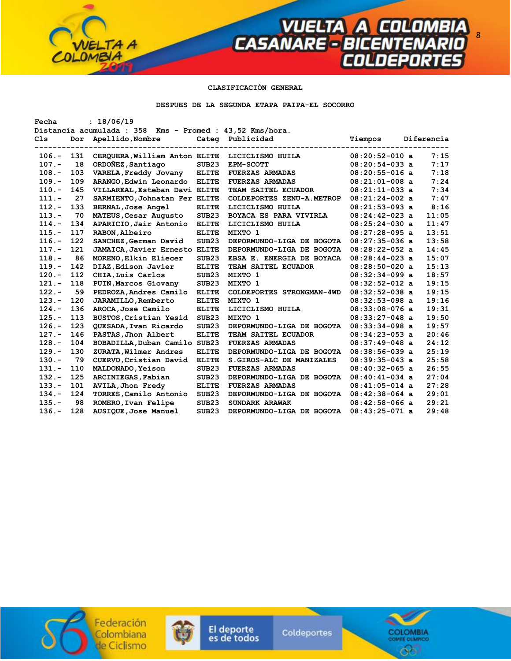# **CLASIFICACIÓN GENERAL**

TA A

**VUELTA A COLOMBIA**<br>CASANARE - BICENTENARIO<br>COLDEPORTES

**DESPUES DE LA SEGUNDA ETAPA PAIPA-EL SOCORRO** 

| : 18/06/19<br>Fecha |     |                                                          |                   |                           |                  |  |            |
|---------------------|-----|----------------------------------------------------------|-------------------|---------------------------|------------------|--|------------|
|                     |     | Distancia acumulada : 358 Kms - Promed : 43,52 Kms/hora. |                   |                           |                  |  |            |
| C <sub>1s</sub>     | Dor | Apellido, Nombre                                         |                   | Categ Publicidad          | Tiempos          |  | Diferencia |
|                     |     |                                                          |                   |                           |                  |  |            |
| $106. -$            | 131 | CEROUERA, William Anton ELITE                            |                   | LICICLISMO HUILA          | $08:20:52-010$ a |  | 7:15       |
| $107. -$            | 18  | ORDONEZ, Santiago                                        | SUB23             | EPM-SCOTT                 | $08:20:54-033$ a |  | 7:17       |
| $108. -$            | 103 | VARELA, Freddy Jovany                                    | <b>ELITE</b>      | <b>FUERZAS ARMADAS</b>    | $08:20:55-016$ a |  | 7:18       |
| $109. -$            | 109 | ARANGO, Edwin Leonardo                                   | <b>ELITE</b>      | <b>FUERZAS ARMADAS</b>    | $08:21:01-008$ a |  | 7:24       |
| $110. -$            | 145 | VILLAREAL, Esteban Davi ELITE                            |                   | TEAM SAITEL ECUADOR       | $08:21:11-033$ a |  | 7:34       |
| $111. -$            | 27  | SARMIENTO, Johnatan Fer ELITE                            |                   | COLDEPORTES ZENU-A.METROP | $08:21:24-002$ a |  | 7:47       |
| $112 -$             | 133 | <b>BERNAL, Jose Angel</b>                                | <b>ELITE</b>      | LICICLISMO HUILA          | $08:21:53-093$ a |  | 8:16       |
| $113 -$             | 70  | MATEUS, Cesar Augusto                                    | SUB23             | BOYACA ES PARA VIVIRLA    | $08:24:42-023$ a |  | 11:05      |
| $114. -$            | 134 | APARICIO, Jair Antonio                                   | <b>ELITE</b>      | LICICLISMO HUILA          | $08:25:24-030$ a |  | 11:47      |
| $115. -$            | 117 | RABON, Albeiro                                           | <b>ELITE</b>      | MIXTO 1                   | $08:27:28-095$ a |  | 13:51      |
| $116. -$            | 122 | SANCHEZ, German David                                    | SUB <sub>23</sub> | DEPORMUNDO-LIGA DE BOGOTA | $08:27:35-036$ a |  | 13:58      |
| $117. -$            | 121 | JAMAICA, Javier Ernesto ELITE                            |                   | DEPORMUNDO-LIGA DE BOGOTA | $08:28:22-052$ a |  | 14:45      |
| $118. -$            | 86  | MORENO, Elkin Eliecer                                    | SUB23             | EBSA E. ENERGIA DE BOYACA | $08:28:44-023$ a |  | 15:07      |
| $119. -$            | 142 | DIAZ, Edison Javier                                      | <b>ELITE</b>      | TEAM SAITEL ECUADOR       | $08:28:50-020$ a |  | 15:13      |
| $120 -$             | 112 | CHIA, Luis Carlos                                        | SUB <sub>23</sub> | MIXTO 1                   | $08:32:34-099$ a |  | 18:57      |
| $121 -$             | 118 | PUIN, Marcos Giovany                                     | SUB <sub>23</sub> | MIXTO 1                   | $08:32:52-012$ a |  | 19:15      |
| $122 -$             | 59  | PEDROZA, Andres Camilo                                   | <b>ELITE</b>      | COLDEPORTES STRONGMAN-4WD | $08:32:52-038$ a |  | 19:15      |
| $123 -$             | 120 | JARAMILLO, Remberto                                      | <b>ELITE</b>      | MIXTO 1                   | $08:32:53-098$ a |  | 19:16      |
| $124. -$            | 136 | AROCA, Jose Camilo                                       | <b>ELITE</b>      | LICICLISMO HUILA          | $08:33:08-076$ a |  | 19:31      |
| $125. -$            | 113 | BUSTOS, Cristian Yesid                                   | SUB <sub>23</sub> | MIXTO 1                   | $08:33:27-048$ a |  | 19:50      |
| $126. -$            | 123 | QUESADA, Ivan Ricardo                                    | SUB <sub>23</sub> | DEPORMUNDO-LIGA DE BOGOTA | $08:33:34-098$ a |  | 19:57      |
| $127. -$            | 146 | PASTAS, Jhon Albert                                      | <b>ELITE</b>      | TEAM SAITEL ECUADOR       | $08:34:23-053$ a |  | 20:46      |
| $128 -$             | 104 | BOBADILLA, Duban Camilo SUB23                            |                   | <b>FUERZAS ARMADAS</b>    | $08:37:49-048$ a |  | 24:12      |
| $129. -$            | 130 | ZURATA, Wilmer Andres                                    | <b>ELITE</b>      | DEPORMUNDO-LIGA DE BOGOTA | $08:38:56-039$ a |  | 25:19      |
| $130 -$             | 79  | CUERVO, Cristian David                                   | <b>ELITE</b>      | S. GIROS-ALC DE MANIZALES | $08:39:35-043$ a |  | 25:58      |
| $131 -$             | 110 | MALDONADO, Yeison                                        | SUB <sub>23</sub> | <b>FUERZAS ARMADAS</b>    | $08:40:32-065$ a |  | 26:55      |
| $132 -$             | 125 | ARCINIEGAS, Fabian                                       | SUB <sub>23</sub> | DEPORMUNDO-LIGA DE BOGOTA | $08:40:41-034$ a |  | 27:04      |
| $133 -$             | 101 | AVILA, Jhon Fredy                                        | <b>ELITE</b>      | <b>FUERZAS ARMADAS</b>    | $08:41:05-014$ a |  | 27:28      |
| $134. -$            | 124 | TORRES, Camilo Antonio                                   | SUB <sub>23</sub> | DEPORMUNDO-LIGA DE BOGOTA | $08:42:38-064$ a |  | 29:01      |
| $135. -$            | 98  | ROMERO, Ivan Felipe                                      | SUB <sub>23</sub> | SUNDARK ARAWAK            | $08:42:58-066$ a |  | 29:21      |
| $136. -$            | 128 | AUSIQUE, Jose Manuel                                     | SUB <sub>23</sub> | DEPORMUNDO-LIGA DE BOGOTA | $08:43:25-071$ a |  | 29:48      |
|                     |     |                                                          |                   |                           |                  |  |            |

Federación<br>Colombiana de Ciclismo



El deporte<br>es de todos

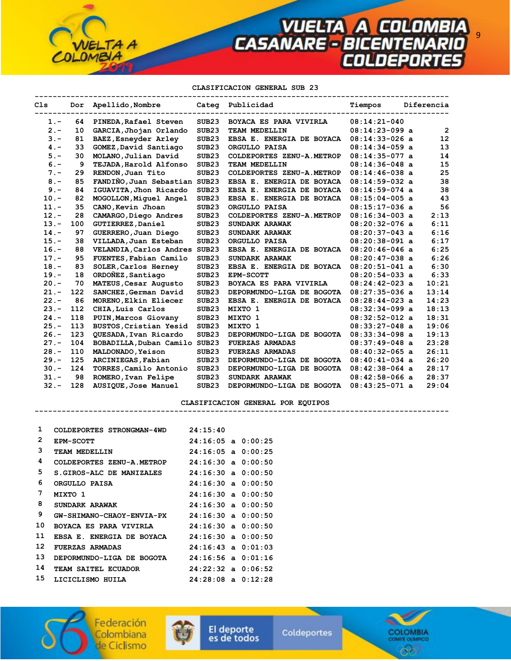9

**CLASIFICACION GENERAL SUB 23** 

| C1s     |     | Dor Apellido, Nombre          |                   | Categ Publicidad          | Tiempos          | Diferencia        |
|---------|-----|-------------------------------|-------------------|---------------------------|------------------|-------------------|
| $1 -$   | 64  | PINEDA, Rafael Steven         | SUB <sub>23</sub> | BOYACA ES PARA VIVIRLA    | $08:14:21-040$   |                   |
| $2 -$   | 10  | GARCIA, Jhojan Orlando        | SUB <sub>23</sub> | TEAM MEDELLIN             | $08:14:23-099$ a | $\overline{2}$    |
| $3 -$   | 81  | BAEZ, Esneyder Arley          | SUB23             | EBSA E. ENERGIA DE BOYACA | $08:14:33-026$ a | $12 \overline{ }$ |
| $4 -$   | 33  | GOMEZ, David Santiago         | SUB <sub>23</sub> | ORGULLO PAISA             | $08:14:34-059$ a | 13                |
| $5. -$  | 30  | MOLANO, Julian David          | SUB <sub>23</sub> | COLDEPORTES ZENU-A.METROP | $08:14:35-077$ a | 14                |
| $6. -$  | 9   | TEJADA, Harold Alfonso        | SUB <sub>23</sub> | TEAM MEDELLIN             | $08:14:36-048$ a | 15                |
| $7 -$   | 29  | RENDON, Juan Tito             | SUB <sub>23</sub> | COLDEPORTES ZENU-A.METROP | $08:14:46-038$ a | 25                |
| $8 -$   | 85  | FANDIÑO, Juan Sebastian SUB23 |                   | EBSA E. ENERGIA DE BOYACA | $08:14:59-032$ a | 38                |
| $9 -$   | 84  | IGUAVITA, Jhon Ricardo        | SUB <sub>23</sub> | EBSA E. ENERGIA DE BOYACA | $08:14:59-074$ a | 38                |
| $10. -$ | 82  | MOGOLLON, Miquel Angel        | SUB <sub>23</sub> | EBSA E. ENERGIA DE BOYACA | $08:15:04-005$ a | 43                |
| $11. -$ | 35  | CANO, Kevin Jhoan             | SUB <sub>23</sub> | ORGULLO PAISA             | $08:15:17-036$ a | 56                |
| $12. -$ | 28  | CAMARGO, Diego Andres         | SUB <sub>23</sub> | COLDEPORTES ZENU-A.METROP | $08:16:34-003$ a | 2:13              |
| $13 -$  | 100 | GUTIERREZ, Daniel             | SUB <sub>23</sub> | SUNDARK ARAWAK            | $08:20:32-076$ a | 6:11              |
| $14. -$ | 97  | GUERRERO, Juan Diego          | SUB <sub>23</sub> | SUNDARK ARAWAK            | $08:20:37-043$ a | 6:16              |
| $15. -$ | 38  | VILLADA, Juan Esteban         | SUB23             | ORGULLO PAISA             | $08:20:38-091$ a | 6:17              |
| $16. -$ | 88  | VELANDIA, Carlos Andres SUB23 |                   | EBSA E. ENERGIA DE BOYACA | $08:20:46-046$ a | 6:25              |
| $17 -$  | 95  | FUENTES, Fabian Camilo        | SUB <sub>23</sub> | SUNDARK ARAWAK            | $08:20:47-038$ a | 6:26              |
| $18. -$ | 83  | SOLER, Carlos Herney          | SUB <sub>23</sub> | EBSA E. ENERGIA DE BOYACA | $08:20:51-041$ a | 6:30              |
| $19. -$ | 18  | ORDONEZ, Santiago             | SUB23             | EPM-SCOTT                 | $08:20:54-033$ a | 6:33              |
| $20 -$  | 70  | MATEUS, Cesar Augusto         | SUB <sub>23</sub> | BOYACA ES PARA VIVIRLA    | $08:24:42-023$ a | 10:21             |
| $21 -$  | 122 | SANCHEZ, German David         | SUB <sub>23</sub> | DEPORMUNDO-LIGA DE BOGOTA | $08:27:35-036$ a | 13:14             |
| $22 -$  | 86  | MORENO, Elkin Eliecer         | SUB <sub>23</sub> | EBSA E. ENERGIA DE BOYACA | $08:28:44-023$ a | 14:23             |
| $23 -$  | 112 | CHIA, Luis Carlos             | SUB <sub>23</sub> | MIXTO 1                   | $08:32:34-099$ a | 18:13             |
| $24. -$ | 118 | PUIN, Marcos Giovany          | SUB <sub>23</sub> | MIXTO 1                   | $08:32:52-012$ a | 18:31             |
| $25. -$ | 113 | BUSTOS, Cristian Yesid        | SUB <sub>23</sub> | MIXTO 1                   | $08:33:27-048$ a | 19:06             |
| $26. -$ | 123 | QUESADA, Ivan Ricardo         | SUB23             | DEPORMUNDO-LIGA DE BOGOTA | $08:33:34-098$ a | 19:13             |
| $27 -$  | 104 | BOBADILLA, Duban Camilo SUB23 |                   | <b>FUERZAS ARMADAS</b>    | $08:37:49-048$ a | 23:28             |
| $28. -$ | 110 | MALDONADO, Yeison             | SUB <sub>23</sub> | <b>FUERZAS ARMADAS</b>    | $08:40:32-065$ a | 26:11             |
| $29. -$ | 125 | ARCINIEGAS, Fabian            | SUB <sub>23</sub> | DEPORMUNDO-LIGA DE BOGOTA | $08:40:41-034$ a | 26:20             |
| $30 -$  | 124 | TORRES, Camilo Antonio        | SUB <sub>23</sub> | DEPORMUNDO-LIGA DE BOGOTA | $08:42:38-064$ a | 28:17             |
| $31 -$  | 98  | ROMERO, Ivan Felipe           | SUB23             | SUNDARK ARAWAK            | $08:42:58-066$ a | 28:37             |
| $32 -$  | 128 | AUSIQUE, Jose Manuel          | SUB <sub>23</sub> | DEPORMUNDO-LIGA DE BOGOTA | $08:43:25-071$ a | 29:04             |

**CLASIFICACION GENERAL POR EQUIPOS** 

 **--------------------------------------------------------------------------------------------** 

| 1  | COLDEPORTES STRONGMAN-4WD        | 24:15:40               |  |
|----|----------------------------------|------------------------|--|
| 2  | <b>EPM-SCOTT</b>                 | $24:16:05$ a $0:00:25$ |  |
| 3  | TEAM MEDELLIN                    | $24:16:05$ a $0:00:25$ |  |
| 4  | COLDEPORTES ZENU-A.METROP        | $24:16:30$ a $0:00:50$ |  |
| 5  | S.GIROS-ALC DE MANIZALES         | $24:16:30$ a $0:00:50$ |  |
| 6  | ORGULLO PAISA                    | $24:16:30$ a $0:00:50$ |  |
| 7  | MIXTO 1                          | $24:16:30$ a $0:00:50$ |  |
| 8  | SUNDARK ARAWAK                   | $24:16:30$ a $0:00:50$ |  |
| 9  | <b>GW-SHIMANO-CHAOY-ENVIA-PX</b> | $24:16:30$ a $0:00:50$ |  |
| 10 | <b>BOYACA ES PARA VIVIRLA</b>    | $24:16:30$ a $0:00:50$ |  |
| 11 | EBSA E. ENERGIA DE BOYACA        | $24:16:30$ a $0:00:50$ |  |
| 12 | <b>FUERZAS ARMADAS</b>           | $24:16:43$ a $0:01:03$ |  |
| 13 | DEPORMUNDO-LIGA DE BOGOTA        | $24:16:56$ a $0:01:16$ |  |
| 14 | <b>TEAM SAITEL ECUADOR</b>       | $24:22:32$ a $0:06:52$ |  |
| 15 | LICICLISMO HUILA                 | 24:28:08 a 0:12:28     |  |

TA<sub>A</sub>

LOMBIA





El deporte Coldeportes es de todos

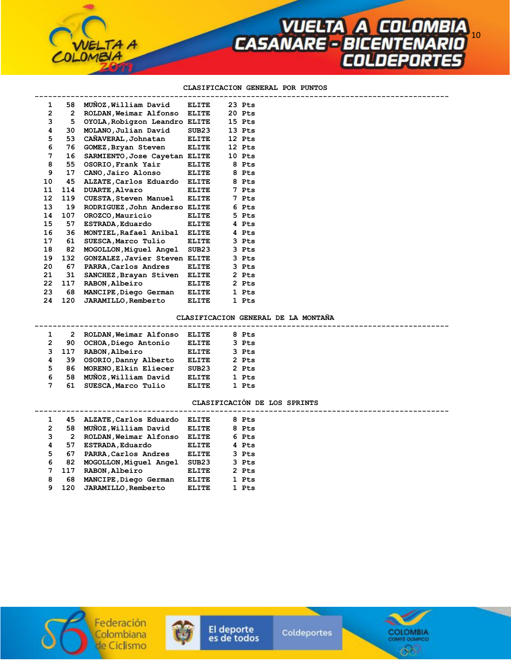## **CLASIFICACION GENERAL POR PUNTOS**

**VUELTA A COLOMBIA<br>CASANARE - BICENTENARIO** 

| $\mathbf 1$     | 58           | MUNOZ, William David          | <b>ELITE</b> | 23 Pts |  |
|-----------------|--------------|-------------------------------|--------------|--------|--|
| $\overline{2}$  | $\mathbf{2}$ | ROLDAN, Weimar Alfonso ELITE  |              | 20 Pts |  |
| 3               | 5            | OYOLA, Robigzon Leandro ELITE |              | 15 Pts |  |
| 4               | 30           | MOLANO, Julian David          | SUB23        | 13 Pts |  |
| 5               | 53           | CAÑAVERAL, Johnatan           | <b>ELITE</b> | 12 Pts |  |
| 6               | 76           | GOMEZ, Bryan Steven           | <b>ELITE</b> | 12 Pts |  |
| 7               | 16           | SARMIENTO, Jose Cayetan ELITE |              | 10 Pts |  |
| 8               | 55           | OSORIO, Frank Yair            | <b>ELITE</b> | 8 Pts  |  |
| 9               | 17           | CANO, Jairo Alonso            | ELITE        | 8 Pts  |  |
| 10              | 45           | ALZATE, Carlos Eduardo ELITE  |              | 8 Pts  |  |
| 11              | 114          | <b>DUARTE, Alvaro</b>         | <b>ELITE</b> | 7 Pts  |  |
| 12 <sup>1</sup> | 119          | <b>CUESTA, Steven Manuel</b>  | <b>ELITE</b> | 7 Pts  |  |
| 13              | 19           | RODRIGUEZ, John Anderso ELITE |              | 6 Pts  |  |
| 14              | 107          | OROZCO, Mauricio              | ELITE        | 5 Pts  |  |
| 15              | 57           | <b>ESTRADA, Eduardo</b>       | <b>ELITE</b> | 4 Pts  |  |
| 16              | 36           | MONTIEL, Rafael Anibal ELITE  |              | 4 Pts  |  |
| 17              | 61           | SUESCA, Marco Tulio           | <b>ELITE</b> | 3 Pts  |  |
| 18              | 82           | MOGOLLON, Miquel Angel SUB23  |              | 3 Pts  |  |
| 19              | 132          | GONZALEZ, Javier Steven ELITE |              | 3 Pts  |  |
| 20              | 67           | PARRA, Carlos Andres          | <b>ELITE</b> | 3 Pts  |  |
| 21              | 31           | SANCHEZ, Brayan Stiven ELITE  |              | 2 Pts  |  |
| 22              | 117          | RABON, Albeiro                | ELITE        | 2 Pts  |  |
| 23              | 68           | MANCIPE, Diego German         | ELITE        | 1 Pts  |  |
| 24              | 120          | <b>JARAMILLO, Remberto</b>    | <b>ELITE</b> | 1 Pts  |  |

TA A

### **CLASIFICACION GENERAL DE LA MONTAÑA**

|             | 2     | ROLDAN, Weimar Alfonso   | <b>ELITE</b>      | 8 Pts |  |
|-------------|-------|--------------------------|-------------------|-------|--|
| 2           | 90    | OCHOA, Diego Antonio     | <b>ELITE</b>      | 3 Pts |  |
|             | 3 117 | RABON, Albeiro           | <b>ELITE</b>      | 3 Pts |  |
| 4           | 39.   | OSORIO, Danny Alberto    | <b>ELITE</b>      | 2 Pts |  |
| 5.          |       | 86 MORENO, Elkin Eliecer | SUB <sub>23</sub> | 2 Pts |  |
| 6           | 58    | MUÑOZ, William David     | <b>ELITE</b>      | 1 Pts |  |
| $7^{\circ}$ | 61    | SUESCA, Marco Tulio      | ELITE.            | 1 Pts |  |
|             |       |                          |                   |       |  |

### **CLASIFICACIÓN DE LOS SPRINTS**

|   | 45  | ALZATE, Carlos Eduardo  | ELITE        | 8 Pts |
|---|-----|-------------------------|--------------|-------|
| 2 | 58  | MUÑOZ, William David    | <b>ELITE</b> | 8 Pts |
| 3 | 2   | ROLDAN, Weimar Alfonso  | ELITE        | 6 Pts |
| 4 | 57  | <b>ESTRADA, Eduardo</b> | <b>ELITE</b> | 4 Pts |
| 5 | 67  | PARRA, Carlos Andres    | ELITE        | 3 Pts |
| 6 | 82  | MOGOLLON, Miquel Angel  | SUB23        | 3 Pts |
|   | 117 | RABON, Albeiro          | <b>ELITE</b> | 2 Pts |
| 8 | 68  | MANCIPE, Diego German   | <b>ELITE</b> | 1 Pts |
| 9 | 120 | JARAMILLO, Remberto     | ELITE        | 1 Pts |
|   |     |                         |              |       |







 **--------------------------------------------------------------------------------------------**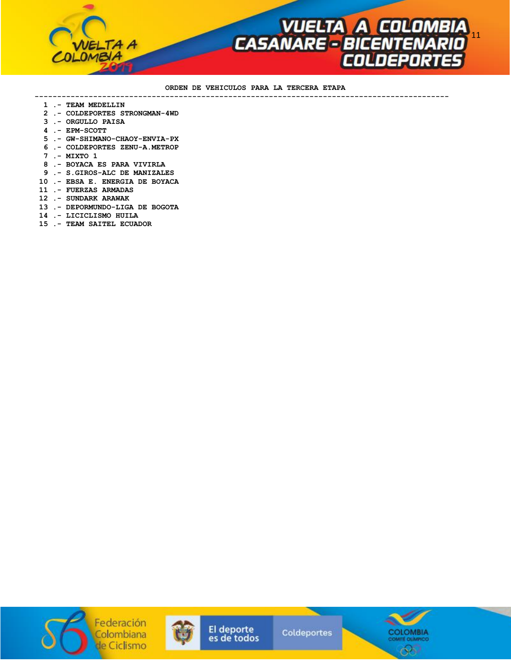

#### **ORDEN DE VEHICULOS PARA LA TERCERA ETAPA --------------------------------------------------------------------------------------------**

- **1 .- TEAM MEDELLIN**
- **2 .- COLDEPORTES STRONGMAN-4WD**
- **3 .- ORGULLO PAISA**
- **4 .- EPM-SCOTT**
- **5 .- GW-SHIMANO-CHAOY-ENVIA-PX**
- **6 .- COLDEPORTES ZENU-A.METROP**
- **7 .- MIXTO 1**
- **8 .- BOYACA ES PARA VIVIRLA**
- **9 .- S.GIROS-ALC DE MANIZALES**
- **10 .- EBSA E. ENERGIA DE BOYACA**
- **11 .- FUERZAS ARMADAS**
- **12 .- SUNDARK ARAWAK**
- **13 .- DEPORMUNDO-LIGA DE BOGOTA**
- **14 .- LICICLISMO HUILA**
- **15 .- TEAM SAITEL ECUADOR**





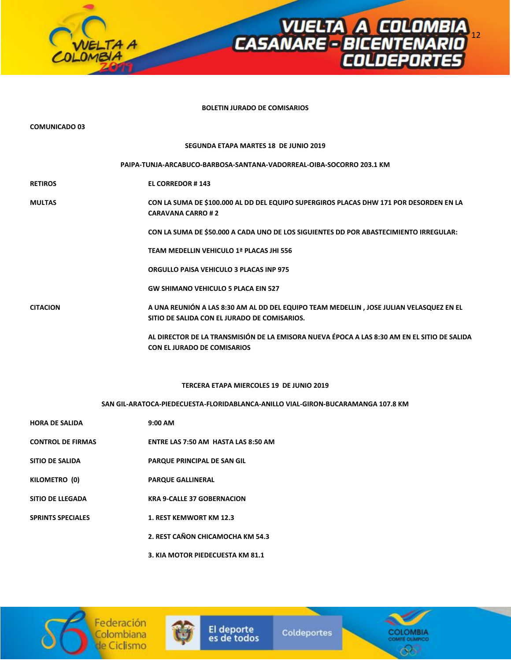

### **BOLETIN JURADO DE COMISARIOS**

| <b>COMUNICADO 03</b>     |                                                                                                                                         |
|--------------------------|-----------------------------------------------------------------------------------------------------------------------------------------|
|                          | SEGUNDA ETAPA MARTES 18 DE JUNIO 2019                                                                                                   |
|                          | PAIPA-TUNJA-ARCABUCO-BARBOSA-SANTANA-VADORREAL-OIBA-SOCORRO 203.1 KM                                                                    |
| <b>RETIROS</b>           | <b>EL CORREDOR #143</b>                                                                                                                 |
| <b>MULTAS</b>            | CON LA SUMA DE \$100.000 AL DD DEL EQUIPO SUPERGIROS PLACAS DHW 171 POR DESORDEN EN LA<br><b>CARAVANA CARRO #2</b>                      |
|                          | CON LA SUMA DE \$50.000 A CADA UNO DE LOS SIGUIENTES DD POR ABASTECIMIENTO IRREGULAR:                                                   |
|                          | TEAM MEDELLIN VEHICULO 1ª PLACAS JHI 556                                                                                                |
|                          | <b>ORGULLO PAISA VEHICULO 3 PLACAS INP 975</b>                                                                                          |
|                          | <b>GW SHIMANO VEHICULO 5 PLACA EIN 527</b>                                                                                              |
| <b>CITACION</b>          | A UNA REUNIÓN A LAS 8:30 AM AL DD DEL EQUIPO TEAM MEDELLIN, JOSE JULIAN VELASQUEZ EN EL<br>SITIO DE SALIDA CON EL JURADO DE COMISARIOS. |
|                          | AL DIRECTOR DE LA TRANSMISIÓN DE LA EMISORA NUEVA ÉPOCA A LAS 8:30 AM EN EL SITIO DE SALIDA<br><b>CON EL JURADO DE COMISARIOS</b>       |
|                          | <b>TERCERA ETAPA MIERCOLES 19 DE JUNIO 2019</b>                                                                                         |
|                          | SAN GIL-ARATOCA-PIEDECUESTA-FLORIDABLANCA-ANILLO VIAL-GIRON-BUCARAMANGA 107.8 KM                                                        |
| <b>HORA DE SALIDA</b>    | $9:00$ AM                                                                                                                               |
| <b>CONTROL DE FIRMAS</b> | ENTRE LAS 7:50 AM HASTA LAS 8:50 AM                                                                                                     |
| <b>SITIO DE SALIDA</b>   | PARQUE PRINCIPAL DE SAN GIL                                                                                                             |
| KILOMETRO (0)            | <b>PARQUE GALLINERAL</b>                                                                                                                |
| <b>SITIO DE LLEGADA</b>  | <b>KRA 9-CALLE 37 GOBERNACION</b>                                                                                                       |
| <b>SPRINTS SPECIALES</b> | 1. REST KEMWORT KM 12.3                                                                                                                 |
|                          | 2. REST CAÑON CHICAMOCHA KM 54.3                                                                                                        |
|                          | 3. KIA MOTOR PIEDECUESTA KM 81.1                                                                                                        |





El deporte<br>es de todos

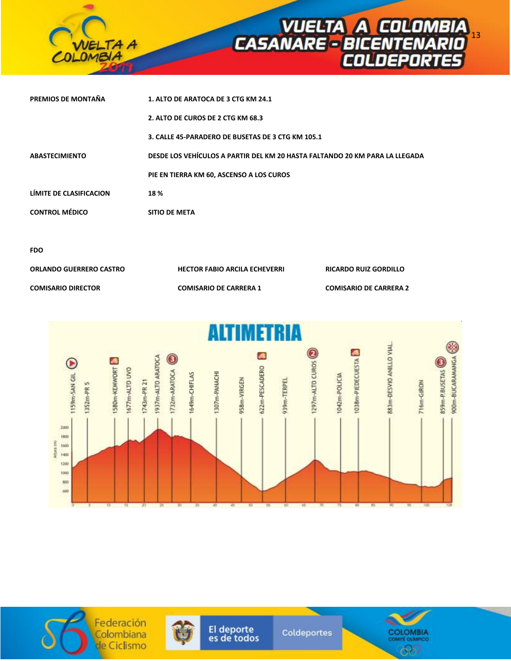

| PREMIOS DE MONTAÑA      | 1. ALTO DE ARATOCA DE 3 CTG KM 24.1                                         |
|-------------------------|-----------------------------------------------------------------------------|
|                         | 2. ALTO DE CUROS DE 2 CTG KM 68.3                                           |
|                         | 3. CALLE 45-PARADERO DE BUSETAS DE 3 CTG KM 105.1                           |
| <b>ABASTECIMIENTO</b>   | DESDE LOS VEHÍCULOS A PARTIR DEL KM 20 HASTA FALTANDO 20 KM PARA LA LLEGADA |
|                         | PIE EN TIERRA KM 60, ASCENSO A LOS CUROS                                    |
| LÍMITE DE CLASIFICACION | 18 %                                                                        |
| <b>CONTROL MÉDICO</b>   | <b>SITIO DE META</b>                                                        |
|                         |                                                                             |
|                         |                                                                             |

| ۰.<br>۰,<br>I<br>×<br>v.<br>۰. |
|--------------------------------|
|--------------------------------|

| ORLANDO GUERRERO CASTRO | <b>HECTOR FABIO ARCILA ECHEVERRI</b> | <b>RICARDO RUIZ GORDILLO</b>  |
|-------------------------|--------------------------------------|-------------------------------|
| COMISARIO DIRECTOR      | <b>COMISARIO DE CARRERA 1</b>        | <b>COMISARIO DE CARRERA 2</b> |







El deporte<br>es de todos

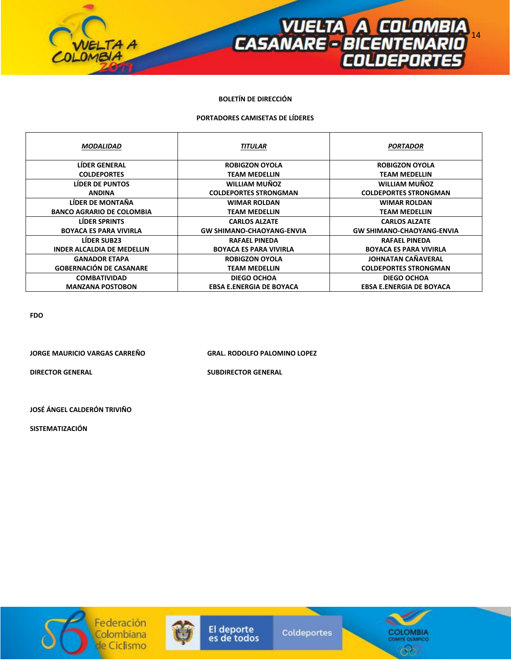

# **BOLETÍN DE DIRECCIÓN**

# **PORTADORES CAMISETAS DE LÍDERES**

| <b>MODALIDAD</b>                  | <b>TITULAR</b>                   | <b>PORTADOR</b>                  |
|-----------------------------------|----------------------------------|----------------------------------|
| <b>LIDER GENERAL</b>              | <b>ROBIGZON OYOLA</b>            | <b>ROBIGZON OYOLA</b>            |
| <b>COLDEPORTES</b>                | <b>TEAM MEDELLIN</b>             | <b>TEAM MEDELLIN</b>             |
| LIDER DE PUNTOS                   | <b>WILLIAM MUÑOZ</b>             | WILLIAM MUÑOZ                    |
| <b>ANDINA</b>                     | <b>COLDEPORTES STRONGMAN</b>     | <b>COLDEPORTES STRONGMAN</b>     |
| LÍDER DE MONTAÑA                  | <b>WIMAR ROLDAN</b>              | <b>WIMAR ROLDAN</b>              |
| <b>BANCO AGRARIO DE COLOMBIA</b>  | <b>TEAM MEDELLIN</b>             | <b>TEAM MEDELLIN</b>             |
| <b>LIDER SPRINTS</b>              | <b>CARLOS ALZATE</b>             | <b>CARLOS ALZATE</b>             |
| <b>BOYACA ES PARA VIVIRLA</b>     | <b>GW SHIMANO-CHAOYANG-ENVIA</b> | <b>GW SHIMANO-CHAOYANG-ENVIA</b> |
| <b>LÍDER SUB23</b>                | <b>RAFAEL PINEDA</b>             | <b>RAFAEL PINEDA</b>             |
| <b>INDER ALCALDIA DE MEDELLIN</b> | <b>BOYACA ES PARA VIVIRLA</b>    | <b>BOYACA ES PARA VIVIRLA</b>    |
| <b>GANADOR ETAPA</b>              | <b>ROBIGZON OYOLA</b>            | <b>JOHNATAN CAÑAVERAL</b>        |
| <b>GOBERNACIÓN DE CASANARE</b>    | <b>TEAM MEDELLIN</b>             | <b>COLDEPORTES STRONGMAN</b>     |
| <b>COMBATIVIDAD</b>               | <b>DIEGO OCHOA</b>               | <b>DIEGO OCHOA</b>               |
| <b>MANZANA POSTOBON</b>           | <b>EBSA E.ENERGIA DE BOYACA</b>  | <b>EBSA E.ENERGIA DE BOYACA</b>  |

**FDO** 

**JORGE MAURICIO VARGAS CARREÑO GRAL. RODOLFO PALOMINO LOPEZ** 

**DIRECTOR GENERAL SUBDIRECTOR GENERAL** 

**JOSÉ ÁNGEL CALDERÓN TRIVIÑO** 

**SISTEMATIZACIÓN**